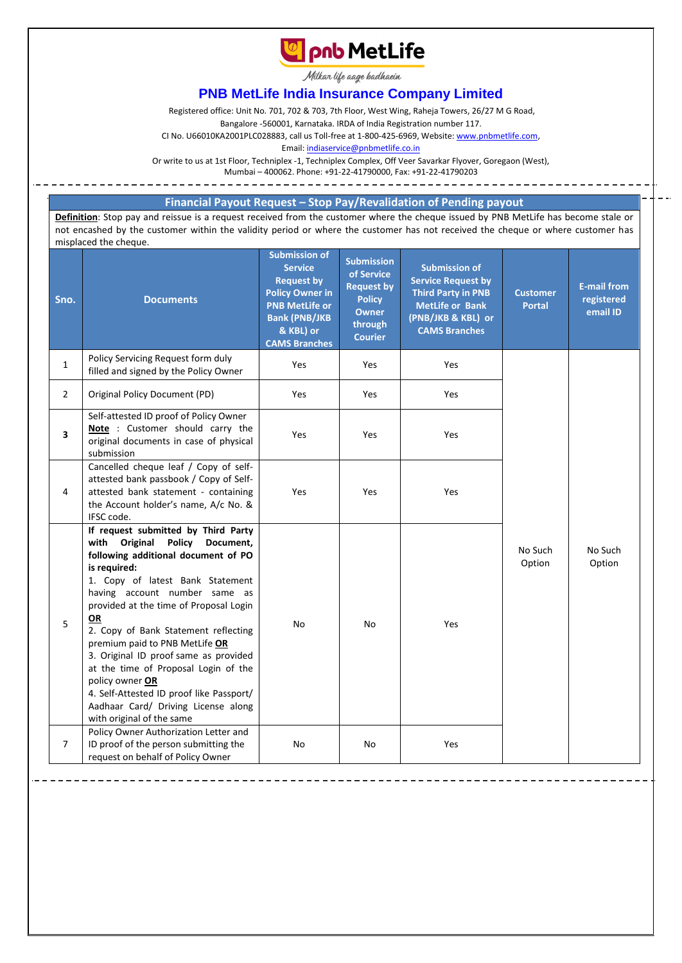

Milkan life aage hadhaein

## **PNB MetLife India Insurance Company Limited**

Registered office: Unit No. 701, 702 & 703, 7th Floor, West Wing, Raheja Towers, 26/27 M G Road,

Bangalore -560001, Karnataka. IRDA of India Registration number 117.

CI No. U66010KA2001PLC028883, call us Toll-free at 1-800-425-6969, Website[: www.pnbmetlife.com,](http://www.pnbmetlife.com/)

Email[: indiaservice@pnbmetlife.co.in](mailto:indiaservice@pnbmetlife.co.in) 

Or write to us at 1st Floor, Techniplex -1, Techniplex Complex, Off Veer Savarkar Flyover, Goregaon (West),

Mumbai – 400062. Phone: +91-22-41790000, Fax: +91-22-41790203

## **Financial Payout Request – Stop Pay/Revalidation of Pending payout**

**Definition**: Stop pay and reissue is a request received from the customer where the cheque issued by PNB MetLife has become stale or not encashed by the customer within the validity period or where the customer has not received the cheque or where customer has misplaced the cheque.

| Sno.           | <b>Documents</b>                                                                                                                                                                                                                                                                                                                                                                                                                                                                                                                                                    | <b>Submission of</b><br><b>Service</b><br><b>Request by</b><br><b>Policy Owner in</b><br><b>PNB MetLife or</b><br><b>Bank (PNB/JKB</b><br>& KBL) or<br><b>CAMS Branches</b> | <b>Submission</b><br>of Service<br><b>Request by</b><br><b>Policy</b><br><b>Owner</b><br>through<br><b>Courier</b> | <b>Submission of</b><br><b>Service Request by</b><br><b>Third Party in PNB</b><br><b>MetLife or Bank</b><br>(PNB/JKB & KBL) or<br><b>CAMS Branches</b> | <b>Customer</b><br><b>Portal</b> | <b>E-mail from</b><br>registered<br>email ID |
|----------------|---------------------------------------------------------------------------------------------------------------------------------------------------------------------------------------------------------------------------------------------------------------------------------------------------------------------------------------------------------------------------------------------------------------------------------------------------------------------------------------------------------------------------------------------------------------------|-----------------------------------------------------------------------------------------------------------------------------------------------------------------------------|--------------------------------------------------------------------------------------------------------------------|--------------------------------------------------------------------------------------------------------------------------------------------------------|----------------------------------|----------------------------------------------|
| $\mathbf{1}$   | Policy Servicing Request form duly<br>filled and signed by the Policy Owner                                                                                                                                                                                                                                                                                                                                                                                                                                                                                         | Yes                                                                                                                                                                         | Yes                                                                                                                | Yes                                                                                                                                                    |                                  |                                              |
| $\overline{2}$ | Original Policy Document (PD)                                                                                                                                                                                                                                                                                                                                                                                                                                                                                                                                       | Yes                                                                                                                                                                         | Yes                                                                                                                | Yes                                                                                                                                                    |                                  |                                              |
| 3              | Self-attested ID proof of Policy Owner<br>Note : Customer should carry the<br>original documents in case of physical<br>submission                                                                                                                                                                                                                                                                                                                                                                                                                                  | <b>Yes</b>                                                                                                                                                                  | Yes                                                                                                                | Yes                                                                                                                                                    |                                  |                                              |
| 4              | Cancelled cheque leaf / Copy of self-<br>attested bank passbook / Copy of Self-<br>attested bank statement - containing<br>the Account holder's name, A/c No. &<br>IFSC code.                                                                                                                                                                                                                                                                                                                                                                                       | Yes                                                                                                                                                                         | Yes                                                                                                                | Yes                                                                                                                                                    |                                  |                                              |
| 5              | If request submitted by Third Party<br>with Original<br><b>Policy</b><br>Document,<br>following additional document of PO<br>is required:<br>1. Copy of latest Bank Statement<br>having account number same as<br>provided at the time of Proposal Login<br><b>OR</b><br>2. Copy of Bank Statement reflecting<br>premium paid to PNB MetLife OR<br>3. Original ID proof same as provided<br>at the time of Proposal Login of the<br>policy owner OR<br>4. Self-Attested ID proof like Passport/<br>Aadhaar Card/ Driving License along<br>with original of the same | <b>No</b>                                                                                                                                                                   | No                                                                                                                 | Yes                                                                                                                                                    | No Such<br>Option                | No Such<br>Option                            |
| 7              | Policy Owner Authorization Letter and<br>ID proof of the person submitting the<br>request on behalf of Policy Owner                                                                                                                                                                                                                                                                                                                                                                                                                                                 | <b>No</b>                                                                                                                                                                   | No                                                                                                                 | Yes                                                                                                                                                    |                                  |                                              |